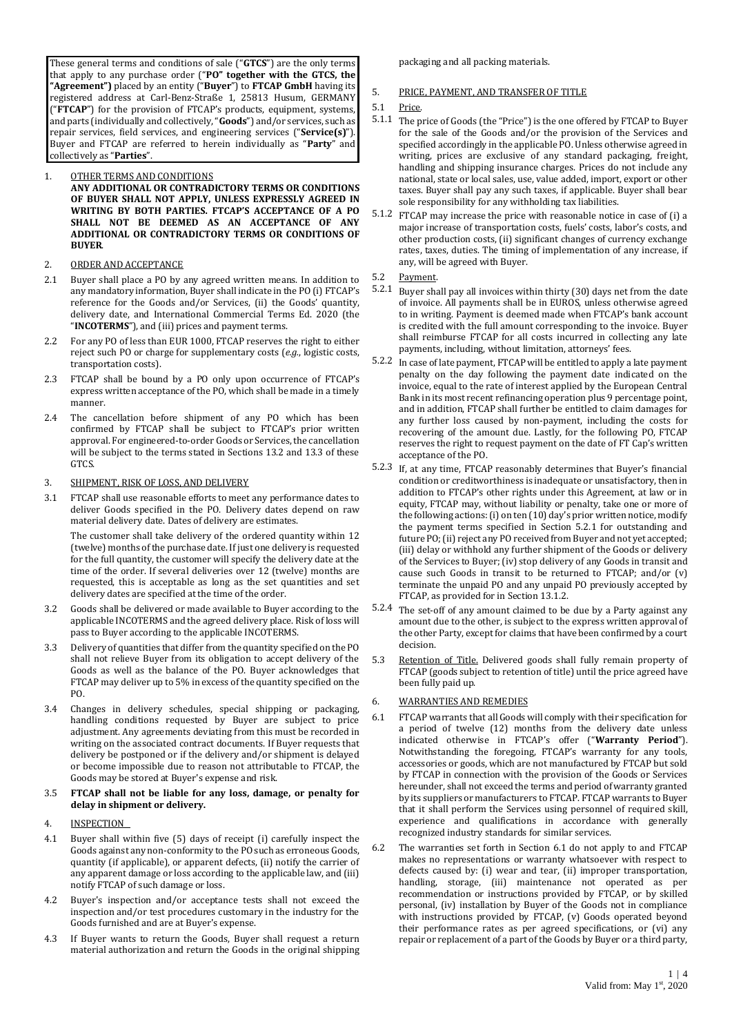These general terms and conditions of sale ("**GTCS**") are the only terms that apply to any purchase order ("**PO" together with the GTCS, the "Agreement")** placed by an entity ("**Buyer**") to **FTCAP GmbH** having its registered address at Carl-Benz-Straße 1, 25813 Husum, GERMANY ("**FTCAP**") for the provision of FTCAP's products, equipment, systems, and parts (individually and collectively, "**Goods**") and/or services, such as repair services, field services, and engineering services ("**Service(s)**"). Buyer and FTCAP are referred to herein individually as "**Party**" and collectively as "**Parties**".

### 1. OTHER TERMS AND CONDITIONS **ANY ADDITIONAL OR CONTRADICTORY TERMS OR CONDITIONS OF BUYER SHALL NOT APPLY, UNLESS EXPRESSLY AGREED IN WRITING BY BOTH PARTIES. FTCAP'S ACCEPTANCE OF A PO SHALL NOT BE DEEMED AS AN ACCEPTANCE OF ANY ADDITIONAL OR CONTRADICTORY TERMS OR CONDITIONS OF BUYER**.

## 2. ORDER AND ACCEPTANCE

- 2.1 Buyer shall place a PO by any agreed written means. In addition to any mandatory information, Buyer shall indicate in the PO (i) FTCAP's reference for the Goods and/or Services, (ii) the Goods' quantity, delivery date, and International Commercial Terms Ed. 2020 (the "**INCOTERMS**"), and (iii) prices and payment terms.
- 2.2 For any PO of less than EUR 1000, FTCAP reserves the right to either reject such PO or charge for supplementary costs (*e.g.*, logistic costs, transportation costs).
- 2.3 FTCAP shall be bound by a PO only upon occurrence of FTCAP's express written acceptance of the PO, which shall be made in a timely manner.
- 2.4 The cancellation before shipment of any PO which has been confirmed by FTCAP shall be subject to FTCAP's prior written approval. For engineered-to-order Goods or Services, the cancellation will be subject to the terms stated in Sections 13.2 and 13.3 of these GTCS.

## 3. SHIPMENT, RISK OF LOSS, AND DELIVERY

3.1 FTCAP shall use reasonable efforts to meet any performance dates to deliver Goods specified in the PO. Delivery dates depend on raw material delivery date. Dates of delivery are estimates.

The customer shall take delivery of the ordered quantity within 12 (twelve) months of the purchase date. If just one delivery is requested for the full quantity, the customer will specify the delivery date at the time of the order. If several deliveries over 12 (twelve) months are requested, this is acceptable as long as the set quantities and set delivery dates are specified at the time of the order.

- 3.2 Goods shall be delivered or made available to Buyer according to the applicable INCOTERMS and the agreed delivery place. Risk of loss will pass to Buyer according to the applicable INCOTERMS.
- 3.3 Delivery of quantities that differ from the quantity specified on the PO shall not relieve Buyer from its obligation to accept delivery of the Goods as well as the balance of the PO. Buyer acknowledges that FTCAP may deliver up to 5% in excess of the quantity specified on the PO.
- 3.4 Changes in delivery schedules, special shipping or packaging, handling conditions requested by Buyer are subject to price adjustment. Any agreements deviating from this must be recorded in writing on the associated contract documents. If Buyer requests that delivery be postponed or if the delivery and/or shipment is delayed or become impossible due to reason not attributable to FTCAP, the Goods may be stored at Buyer's expense and risk.

### 3.5 **FTCAP shall not be liable for any loss, damage, or penalty for delay in shipment or delivery.**

- 4. INSPECTION
- 4.1 Buyer shall within five (5) days of receipt (i) carefully inspect the Goods against any non-conformity to the PO such as erroneous Goods, quantity (if applicable), or apparent defects, (ii) notify the carrier of any apparent damage or loss according to the applicable law, and (iii) notify FTCAP of such damage or loss.
- 4.2 Buyer's inspection and/or acceptance tests shall not exceed the inspection and/or test procedures customary in the industry for the Goods furnished and are at Buyer's expense.
- 4.3 If Buyer wants to return the Goods, Buyer shall request a return material authorization and return the Goods in the original shipping

packaging and all packing materials.

# 5. PRICE, PAYMENT, AND TRANSFER OF TITLE

- 5.1 Price.
- 5.1.1 The price of Goods (the "Price") is the one offered by FTCAP to Buyer for the sale of the Goods and/or the provision of the Services and specified accordingly in the applicable PO. Unless otherwise agreed in writing, prices are exclusive of any standard packaging, freight, handling and shipping insurance charges. Prices do not include any national, state or local sales, use, value added, import, export or other taxes. Buyer shall pay any such taxes, if applicable. Buyer shall bear sole responsibility for any withholding tax liabilities.
- 5.1.2 FTCAP may increase the price with reasonable notice in case of (i) a major increase of transportation costs, fuels' costs, labor's costs, and other production costs, (ii) significant changes of currency exchange rates, taxes, duties. The timing of implementation of any increase, if any, will be agreed with Buyer.
- 5.2 Payment.
- 5.2.1 Buyer shall pay all invoices within thirty (30) days net from the date of invoice. All payments shall be in EUROS, unless otherwise agreed to in writing. Payment is deemed made when FTCAP's bank account is credited with the full amount corresponding to the invoice. Buyer shall reimburse FTCAP for all costs incurred in collecting any late payments, including, without limitation, attorneys' fees.
- 5.2.2 In case of late payment, FTCAP will be entitled to apply a late payment penalty on the day following the payment date indicated on the invoice, equal to the rate of interest applied by the European Central Bank in its most recent refinancing operation plus 9 percentage point, and in addition, FTCAP shall further be entitled to claim damages for any further loss caused by non-payment, including the costs for recovering of the amount due. Lastly, for the following PO, FTCAP reserves the right to request payment on the date of FT Cap's written acceptance of the PO.
- 5.2.3 If, at any time, FTCAP reasonably determines that Buyer's financial condition or creditworthiness is inadequate or unsatisfactory, then in addition to FTCAP's other rights under this Agreement, at law or in equity, FTCAP may, without liability or penalty, take one or more of the following actions: (i) on ten (10) day's prior written notice, modify the payment terms specified in Section 5.2.1 for outstanding and future PO; (ii) reject any PO received from Buyer and not yet accepted; (iii) delay or withhold any further shipment of the Goods or delivery of the Services to Buyer; (iv) stop delivery of any Goods in transit and cause such Goods in transit to be returned to FTCAP; and/or (v) terminate the unpaid PO and any unpaid PO previously accepted by FTCAP, as provided for in Section 13.1.2.
- 5.2.4 The set-off of any amount claimed to be due by a Party against any amount due to the other, is subject to the express written approval of the other Party, except for claims that have been confirmed by a court decision.
- 5.3 Retention of Title. Delivered goods shall fully remain property of FTCAP (goods subject to retention of title) until the price agreed have been fully paid up.

# 6. WARRANTIES AND REMEDIES

- 6.1 FTCAP warrants that all Goods will comply with their specification for a period of twelve (12) months from the delivery date unless indicated otherwise in FTCAP's offer ("**Warranty Period**"). Notwithstanding the foregoing, FTCAP's warranty for any tools, accessories or goods, which are not manufactured by FTCAP but sold by FTCAP in connection with the provision of the Goods or Services hereunder, shall not exceed the terms and period of warranty granted by its suppliers or manufacturers to FTCAP. FTCAP warrants to Buyer that it shall perform the Services using personnel of required skill, experience and qualifications in accordance with generally recognized industry standards for similar services.
- 6.2 The warranties set forth in Section 6.1 do not apply to and FTCAP makes no representations or warranty whatsoever with respect to defects caused by: (i) wear and tear, (ii) improper transportation, handling, storage, (iii) maintenance not operated as per recommendation or instructions provided by FTCAP, or by skilled personal, (iv) installation by Buyer of the Goods not in compliance with instructions provided by FTCAP, (v) Goods operated beyond their performance rates as per agreed specifications, or (vi) any repair or replacement of a part of the Goods by Buyer or a third party,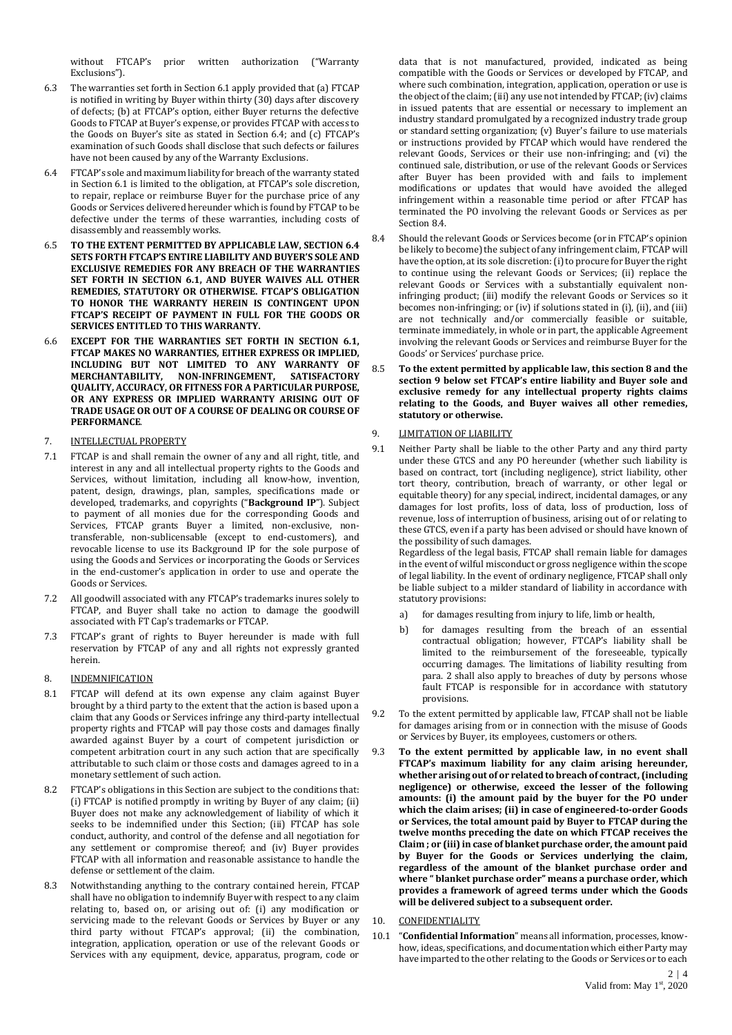without FTCAP's prior written authorization ("Warranty Exclusions").

- 6.3 The warranties set forth in Section 6.1 apply provided that (a) FTCAP is notified in writing by Buyer within thirty (30) days after discovery of defects; (b) at FTCAP's option, either Buyer returns the defective Goods to FTCAP at Buyer's expense, or provides FTCAP with access to the Goods on Buyer's site as stated in Section 6.4; and (c) FTCAP's examination of such Goods shall disclose that such defects or failures have not been caused by any of the Warranty Exclusions.
- 6.4 FTCAP's sole and maximum liability for breach of the warranty stated in Section 6.1 is limited to the obligation, at FTCAP's sole discretion, to repair, replace or reimburse Buyer for the purchase price of any Goods or Services delivered hereunder which is found by FTCAP to be defective under the terms of these warranties, including costs of disassembly and reassembly works.
- 6.5 **TO THE EXTENT PERMITTED BY APPLICABLE LAW, SECTION 6.4 SETS FORTH FTCAP'S ENTIRE LIABILITY AND BUYER'S SOLE AND EXCLUSIVE REMEDIES FOR ANY BREACH OF THE WARRANTIES SET FORTH IN SECTION 6.1, AND BUYER WAIVES ALL OTHER REMEDIES, STATUTORY OR OTHERWISE. FTCAP'S OBLIGATION TO HONOR THE WARRANTY HEREIN IS CONTINGENT UPON FTCAP'S RECEIPT OF PAYMENT IN FULL FOR THE GOODS OR SERVICES ENTITLED TO THIS WARRANTY.**
- 6.6 **EXCEPT FOR THE WARRANTIES SET FORTH IN SECTION 6.1, FTCAP MAKES NO WARRANTIES, EITHER EXPRESS OR IMPLIED, INCLUDING BUT NOT LIMITED TO ANY WARRANTY OF MERCHANTABILITY, NON-INFRINGEMENT, SATISFACTORY QUALITY, ACCURACY, OR FITNESS FOR A PARTICULAR PURPOSE, OR ANY EXPRESS OR IMPLIED WARRANTY ARISING OUT OF TRADE USAGE OR OUT OF A COURSE OF DEALING OR COURSE OF PERFORMANCE**.
- 7. INTELLECTUAL PROPERTY
- 7.1 FTCAP is and shall remain the owner of any and all right, title, and interest in any and all intellectual property rights to the Goods and Services, without limitation, including all know-how, invention, patent, design, drawings, plan, samples, specifications made or developed, trademarks, and copyrights ("**Background IP**"). Subject to payment of all monies due for the corresponding Goods and Services, FTCAP grants Buyer a limited, non-exclusive, nontransferable, non-sublicensable (except to end-customers), and revocable license to use its Background IP for the sole purpose of using the Goods and Services or incorporating the Goods or Services in the end-customer's application in order to use and operate the Goods or Services.
- 7.2 All goodwill associated with any FTCAP's trademarks inures solely to FTCAP, and Buyer shall take no action to damage the goodwill associated with FT Cap's trademarks or FTCAP.
- 7.3 FTCAP's grant of rights to Buyer hereunder is made with full reservation by FTCAP of any and all rights not expressly granted herein.
- 8. INDEMNIFICATION
- 8.1 FTCAP will defend at its own expense any claim against Buyer brought by a third party to the extent that the action is based upon a claim that any Goods or Services infringe any third-party intellectual property rights and FTCAP will pay those costs and damages finally awarded against Buyer by a court of competent jurisdiction or competent arbitration court in any such action that are specifically attributable to such claim or those costs and damages agreed to in a monetary settlement of such action.
- 8.2 FTCAP's obligations in this Section are subject to the conditions that: (i) FTCAP is notified promptly in writing by Buyer of any claim; (ii) Buyer does not make any acknowledgement of liability of which it seeks to be indemnified under this Section; (iii) FTCAP has sole conduct, authority, and control of the defense and all negotiation for any settlement or compromise thereof; and (iv) Buyer provides FTCAP with all information and reasonable assistance to handle the defense or settlement of the claim.
- 8.3 Notwithstanding anything to the contrary contained herein, FTCAP shall have no obligation to indemnify Buyer with respect to any claim relating to, based on, or arising out of: (i) any modification or servicing made to the relevant Goods or Services by Buyer or any third party without FTCAP's approval; (ii) the combination, integration, application, operation or use of the relevant Goods or Services with any equipment, device, apparatus, program, code or

data that is not manufactured, provided, indicated as being compatible with the Goods or Services or developed by FTCAP, and where such combination, integration, application, operation or use is the object of the claim; (iii) any use not intended by FTCAP; (iv) claims in issued patents that are essential or necessary to implement an industry standard promulgated by a recognized industry trade group or standard setting organization; (v) Buyer's failure to use materials or instructions provided by FTCAP which would have rendered the relevant Goods, Services or their use non-infringing; and (vi) the continued sale, distribution, or use of the relevant Goods or Services after Buyer has been provided with and fails to implement modifications or updates that would have avoided the alleged infringement within a reasonable time period or after FTCAP has terminated the PO involving the relevant Goods or Services as per Section 8.4.

- 8.4 Should the relevant Goods or Services become (or in FTCAP's opinion be likely to become) the subject of any infringement claim, FTCAP will have the option, at its sole discretion: (i) to procure for Buyer the right to continue using the relevant Goods or Services; (ii) replace the relevant Goods or Services with a substantially equivalent noninfringing product; (iii) modify the relevant Goods or Services so it becomes non-infringing; or (iv) if solutions stated in (i), (ii), and (iii) are not technically and/or commercially feasible or suitable, terminate immediately, in whole or in part, the applicable Agreement involving the relevant Goods or Services and reimburse Buyer for the Goods' or Services' purchase price.
- 8.5 **To the extent permitted by applicable law, this section 8 and the section 9 below set FTCAP's entire liability and Buyer sole and exclusive remedy for any intellectual property rights claims relating to the Goods, and Buyer waives all other remedies, statutory or otherwise.**

#### 9. LIMITATION OF LIABILITY

9.1 Neither Party shall be liable to the other Party and any third party under these GTCS and any PO hereunder (whether such liability is based on contract, tort (including negligence), strict liability, other tort theory, contribution, breach of warranty, or other legal or equitable theory) for any special, indirect, incidental damages, or any damages for lost profits, loss of data, loss of production, loss of revenue, loss of interruption of business, arising out of or relating to these GTCS, even if a party has been advised or should have known of the possibility of such damages.

Regardless of the legal basis, FTCAP shall remain liable for damages in the event of wilful misconduct or gross negligence within the scope of legal liability. In the event of ordinary negligence, FTCAP shall only be liable subject to a milder standard of liability in accordance with statutory provisions:

- a) for damages resulting from injury to life, limb or health,
- b) for damages resulting from the breach of an essential contractual obligation; however, FTCAP's liability shall be limited to the reimbursement of the foreseeable, typically occurring damages. The limitations of liability resulting from para. 2 shall also apply to breaches of duty by persons whose fault FTCAP is responsible for in accordance with statutory provisions.
- 9.2 To the extent permitted by applicable law, FTCAP shall not be liable for damages arising from or in connection with the misuse of Goods or Services by Buyer, its employees, customers or others.
- 9.3 **To the extent permitted by applicable law, in no event shall FTCAP's maximum liability for any claim arising hereunder, whether arising out of or related to breach of contract, (including negligence) or otherwise, exceed the lesser of the following amounts: (i) the amount paid by the buyer for the PO under which the claim arises; (ii) in case of engineered-to-order Goods or Services, the total amount paid by Buyer to FTCAP during the twelve months preceding the date on which FTCAP receives the Claim ; or (iii) in case of blanket purchase order, the amount paid by Buyer for the Goods or Services underlying the claim, regardless of the amount of the blanket purchase order and where " blanket purchase order" means a purchase order, which provides a framework of agreed terms under which the Goods will be delivered subject to a subsequent order.**
- 10. CONFIDENTIALITY
- 10.1 "**Confidential Information**" means all information, processes, knowhow, ideas, specifications, and documentation which either Party may have imparted to the other relating to the Goods or Services or to each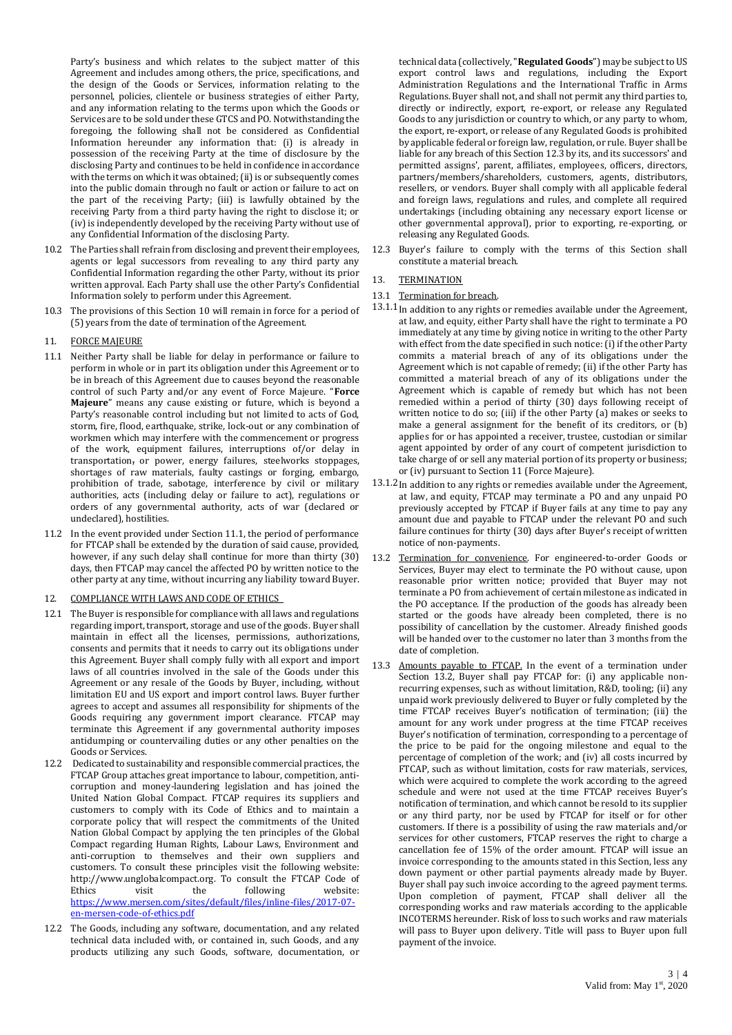Party's business and which relates to the subject matter of this Agreement and includes among others, the price, specifications, and the design of the Goods or Services, information relating to the personnel, policies, clientele or business strategies of either Party, and any information relating to the terms upon which the Goods or Services are to be sold under these GTCS and PO. Notwithstanding the foregoing, the following shall not be considered as Confidential Information hereunder any information that: (i) is already in possession of the receiving Party at the time of disclosure by the disclosing Party and continues to be held in confidence in accordance with the terms on which it was obtained; (ii) is or subsequently comes into the public domain through no fault or action or failure to act on the part of the receiving Party; (iii) is lawfully obtained by the receiving Party from a third party having the right to disclose it; or (iv) is independently developed by the receiving Party without use of any Confidential Information of the disclosing Party.

- 10.2 The Parties shall refrain from disclosing and prevent their employees, agents or legal successors from revealing to any third party any Confidential Information regarding the other Party, without its prior written approval. Each Party shall use the other Party's Confidential Information solely to perform under this Agreement.
- 10.3 The provisions of this Section 10 will remain in force for a period of (5) years from the date of termination of the Agreement.

## 11. FORCE MAJEURE

- 11.1 Neither Party shall be liable for delay in performance or failure to perform in whole or in part its obligation under this Agreement or to be in breach of this Agreement due to causes beyond the reasonable control of such Party and/or any event of Force Majeure. "**Force Majeure**" means any cause existing or future, which is beyond a Party's reasonable control including but not limited to acts of God, storm, fire, flood, earthquake, strike, lock-out or any combination of workmen which may interfere with the commencement or progress of the work, equipment failures, interruptions of/or delay in transportation, or power, energy failures, steelworks stoppages, shortages of raw materials, faulty castings or forging, embargo, prohibition of trade, sabotage, interference by civil or military authorities, acts (including delay or failure to act), regulations or orders of any governmental authority, acts of war (declared or undeclared), hostilities.
- 11.2 In the event provided under Section 11.1, the period of performance for FTCAP shall be extended by the duration of said cause, provided, however, if any such delay shall continue for more than thirty (30) days, then FTCAP may cancel the affected PO by written notice to the other party at any time, without incurring any liability toward Buyer.
- 12. COMPLIANCE WITH LAWS AND CODE OF ETHICS
- 12.1 The Buyer is responsible for compliance with all laws and regulations regarding import, transport, storage and use of the goods. Buyer shall maintain in effect all the licenses, permissions, authorizations, consents and permits that it needs to carry out its obligations under this Agreement. Buyer shall comply fully with all export and import laws of all countries involved in the sale of the Goods under this Agreement or any resale of the Goods by Buyer, including, without limitation EU and US export and import control laws. Buyer further agrees to accept and assumes all responsibility for shipments of the Goods requiring any government import clearance. FTCAP may terminate this Agreement if any governmental authority imposes antidumping or countervailing duties or any other penalties on the Goods or Services.
- 12.2 Dedicated to sustainability and responsible commercial practices, the FTCAP Group attaches great importance to labour, competition, anticorruption and money-laundering legislation and has joined the United Nation Global Compact. FTCAP requires its suppliers and customers to comply with its Code of Ethics and to maintain a corporate policy that will respect the commitments of the United Nation Global Compact by applying the ten principles of the Global Compact regarding Human Rights, Labour Laws, Environment and anti-corruption to themselves and their own suppliers and customers. To consult these principles visit the following website: [http://www.unglobalcompact.org.](http://www.unglobalcompact.org/) To consult the FTCAP Code of Ethics visit the following website: Ethics visit the following website: [https://www.mersen.com/sites/default/files/inline-files/2017-07](https://www.mersen.com/sites/default/files/inline-files/2017-07-en-mersen-code-of-ethics.pdf) [en-mersen-code-of-ethics.pdf](https://www.mersen.com/sites/default/files/inline-files/2017-07-en-mersen-code-of-ethics.pdf)
- 12.2 The Goods, including any software, documentation, and any related technical data included with, or contained in, such Goods, and any products utilizing any such Goods, software, documentation, or

technical data (collectively, "**Regulated Goods**") may be subject to US export control laws and regulations, including the Export Administration Regulations and the International Traffic in Arms Regulations. Buyer shall not, and shall not permit any third parties to, directly or indirectly, export, re-export, or release any Regulated Goods to any jurisdiction or country to which, or any party to whom, the export, re-export, or release of any Regulated Goods is prohibited by applicable federal or foreign law, regulation, or rule. Buyer shall be liable for any breach of this Section 12.3 by its, and its successors' and permitted assigns', parent, affiliates, employees, officers, directors, partners/members/shareholders, customers, agents, distributors, resellers, or vendors. Buyer shall comply with all applicable federal and foreign laws, regulations and rules, and complete all required undertakings (including obtaining any necessary export license or other governmental approval), prior to exporting, re-exporting, or releasing any Regulated Goods.

- 12.3 Buyer's failure to comply with the terms of this Section shall constitute a material breach.
- 13. TERMINATION
- 13.1 Termination for breach.
- 13.1.1 In addition to any rights or remedies available under the Agreement, at law, and equity, either Party shall have the right to terminate a PO immediately at any time by giving notice in writing to the other Party with effect from the date specified in such notice: (i) if the other Party commits a material breach of any of its obligations under the Agreement which is not capable of remedy; (ii) if the other Party has committed a material breach of any of its obligations under the Agreement which is capable of remedy but which has not been remedied within a period of thirty (30) days following receipt of written notice to do so; (iii) if the other Party (a) makes or seeks to make a general assignment for the benefit of its creditors, or (b) applies for or has appointed a receiver, trustee, custodian or similar agent appointed by order of any court of competent jurisdiction to take charge of or sell any material portion of its property or business; or (iv) pursuant to Section 11 (Force Majeure).
- 13.1.2In addition to any rights or remedies available under the Agreement, at law, and equity, FTCAP may terminate a PO and any unpaid PO previously accepted by FTCAP if Buyer fails at any time to pay any amount due and payable to FTCAP under the relevant PO and such failure continues for thirty (30) days after Buyer's receipt of written notice of non-payments.
- 13.2 Termination for convenience. For engineered-to-order Goods or Services, Buyer may elect to terminate the PO without cause, upon reasonable prior written notice; provided that Buyer may not terminate a PO from achievement of certain milestone as indicated in the PO acceptance. If the production of the goods has already been started or the goods have already been completed, there is no possibility of cancellation by the customer. Already finished goods will be handed over to the customer no later than 3 months from the date of completion.
- 13.3 Amounts payable to FTCAP. In the event of a termination under Section 13.2, Buyer shall pay FTCAP for: (i) any applicable nonrecurring expenses, such as without limitation, R&D, tooling; (ii) any unpaid work previously delivered to Buyer or fully completed by the time FTCAP receives Buyer's notification of termination; (iii) the amount for any work under progress at the time FTCAP receives Buyer's notification of termination, corresponding to a percentage of the price to be paid for the ongoing milestone and equal to the percentage of completion of the work; and (iv) all costs incurred by FTCAP, such as without limitation, costs for raw materials, services, which were acquired to complete the work according to the agreed schedule and were not used at the time FTCAP receives Buyer's notification of termination, and which cannot be resold to its supplier or any third party, nor be used by FTCAP for itself or for other customers. If there is a possibility of using the raw materials and/or services for other customers, FTCAP reserves the right to charge a cancellation fee of 15% of the order amount. FTCAP will issue an invoice corresponding to the amounts stated in this Section, less any down payment or other partial payments already made by Buyer. Buyer shall pay such invoice according to the agreed payment terms. Upon completion of payment, FTCAP shall deliver all the corresponding works and raw materials according to the applicable INCOTERMS hereunder. Risk of loss to such works and raw materials will pass to Buyer upon delivery. Title will pass to Buyer upon full payment of the invoice.